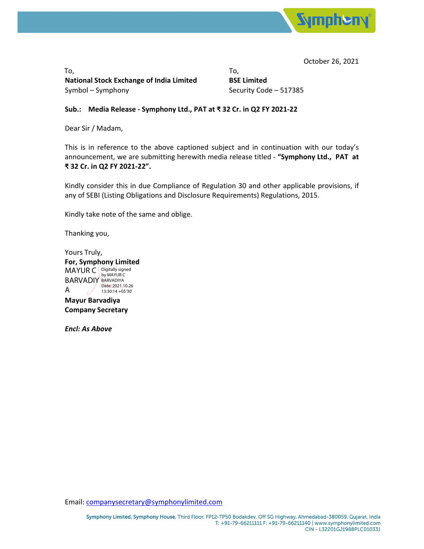

October 26, 2021

 $\mathsf{To},\mathsf{.}$ **National Stock Exchange of India Limited BSE Limited** Symbol – Symphony **Symbol – Symphony Security Code – 517385** 

## **Sub.: Media Release ‐ Symphony Ltd., PAT at ₹ 32 Cr. in Q2 FY 2021‐22**

Dear Sir / Madam,

This is in reference to the above captioned subject and in continuation with our today's announcement, we are submitting herewith media release titled ‐ **"Symphony Ltd., PAT at ₹ 32 Cr. in Q2 FY 2021‐22".**

Kindly consider this in due Compliance of Regulation 30 and other applicable provisions, if any of SEBI (Listing Obligations and Disclosure Requirements) Regulations, 2015.

Kindly take note of the same and oblige.

Thanking you,

Yours Truly, **For, Symphony Limited** MAYUR C Bigitally signed BARVADIY BARVADIYA A Date: 2021.10.26 13:30:14 +05'30'

**Mayur Barvadiya Company Secretary**

*Encl: As Above*

Email: companysecretary@symphonylimited.com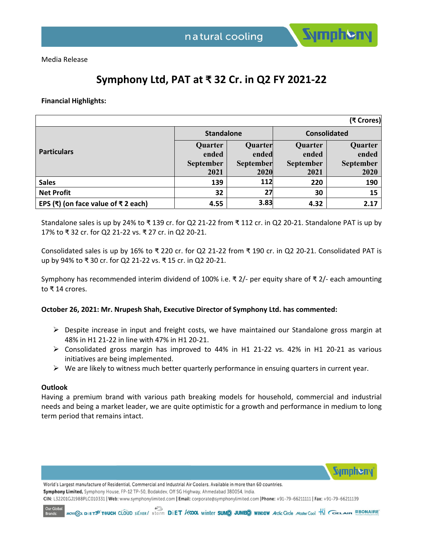

**Symphen** 

Media Release

# **Symphony Ltd, PAT at ₹ 32 Cr. in Q2 FY 2021‐22**

**Financial Highlights:** 

| (₹ Crores)                                  |                   |                  |                     |                  |
|---------------------------------------------|-------------------|------------------|---------------------|------------------|
| <b>Particulars</b>                          | <b>Standalone</b> |                  | <b>Consolidated</b> |                  |
|                                             | Quarter           | Quarter          | Quarter             | Quarter          |
|                                             | ended             | ended            | ended               | ended            |
|                                             | <b>September</b>  | <b>September</b> | <b>September</b>    | <b>September</b> |
|                                             | 2021              | 2020             | 2021                | 2020             |
| <b>Sales</b>                                | 139               | 112              | 220                 | 190              |
| <b>Net Profit</b>                           | 32                | 27               | 30                  | 15               |
| EPS (₹) (on face value of $\bar{x}$ 2 each) | 4.55              | 3.83             | 4.32                | 2.17             |

Standalone sales is up by 24% to ₹ 139 cr. for Q2 21‐22 from ₹ 112 cr. in Q2 20‐21. Standalone PAT is up by 17% to ₹ 32 cr. for Q2 21‐22 vs. ₹ 27 cr. in Q2 20‐21.

Consolidated sales is up by 16% to ₹ 220 cr. for Q2 21‐22 from ₹ 190 cr. in Q2 20‐21. Consolidated PAT is up by 94% to ₹ 30 cr. for Q2 21‐22 vs. ₹ 15 cr. in Q2 20‐21.

Symphony has recommended interim dividend of 100% i.e. ₹ 2/‐ per equity share of ₹ 2/‐ each amounting to ₹ 14 crores.

### **October 26, 2021: Mr. Nrupesh Shah, Executive Director of Symphony Ltd. has commented:**

- $\triangleright$  Despite increase in input and freight costs, we have maintained our Standalone gross margin at 48% in H1 21‐22 in line with 47% in H1 20‐21.
- Consolidated gross margin has improved to 44% in H1 21‐22 vs. 42% in H1 20‐21 as various initiatives are being implemented.
- $\triangleright$  We are likely to witness much better quarterly performance in ensuing quarters in current year.

### **Outlook**

Having a premium brand with various path breaking models for household, commercial and industrial needs and being a market leader, we are quite optimistic for a growth and performance in medium to long term period that remains intact.

World's Largest manufacture of Residential, Commercial and Industrial Air Coolers. Available in more than 60 countries. Symphony Limited, Symphony House, FP-12 TP-50, Bodakdev, Off SG Highway, Ahmedabad 380054, India. CIN: L32201GJ1988PLC010331 | Web: www.symphonylimited.com | Email: corporate@symphonylimited.com | Phone: +91-79-66211111 | Fax: +91-79-66211119